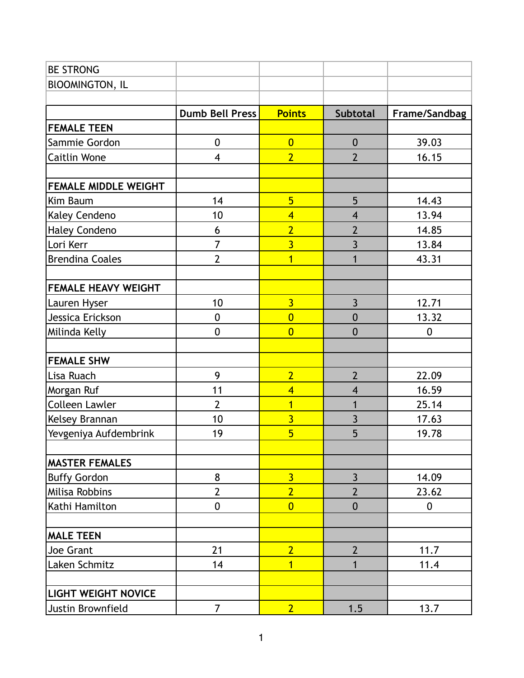| <b>BE STRONG</b>            |                          |                         |                         |                |
|-----------------------------|--------------------------|-------------------------|-------------------------|----------------|
| <b>BIOOMINGTON, IL</b>      |                          |                         |                         |                |
|                             |                          |                         |                         |                |
|                             | <b>Dumb Bell Press</b>   | <b>Points</b>           | <b>Subtotal</b>         | Frame/Sandbag  |
| <b>FEMALE TEEN</b>          |                          |                         |                         |                |
| Sammie Gordon               | $\mathbf 0$              | $\overline{0}$          | $\boldsymbol{0}$        | 39.03          |
| Caitlin Wone                | $\overline{\mathcal{A}}$ | $\overline{2}$          | $\overline{2}$          | 16.15          |
|                             |                          |                         |                         |                |
| <b>FEMALE MIDDLE WEIGHT</b> |                          |                         |                         |                |
| Kim Baum                    | 14                       | $\overline{5}$          | 5                       | 14.43          |
| Kaley Cendeno               | 10                       | $\overline{\mathbf{4}}$ | $\overline{\mathbf{4}}$ | 13.94          |
| <b>Haley Condeno</b>        | 6                        | $\overline{2}$          | $\overline{2}$          | 14.85          |
| Lori Kerr                   | $\overline{7}$           | $\overline{3}$          | $\overline{3}$          | 13.84          |
| <b>Brendina Coales</b>      | $\overline{2}$           | $\overline{1}$          | $\overline{1}$          | 43.31          |
|                             |                          |                         |                         |                |
| <b>FEMALE HEAVY WEIGHT</b>  |                          |                         |                         |                |
| Lauren Hyser                | 10                       | $\overline{3}$          | $\overline{3}$          | 12.71          |
| Jessica Erickson            | $\mathbf 0$              | $\overline{0}$          | $\mathbf 0$             | 13.32          |
| Milinda Kelly               | $\mathbf 0$              | $\overline{0}$          | $\overline{0}$          | $\overline{0}$ |
|                             |                          |                         |                         |                |
| <b>FEMALE SHW</b>           |                          |                         |                         |                |
| Lisa Ruach                  | 9                        | $\overline{2}$          | $\overline{2}$          | 22.09          |
| Morgan Ruf                  | 11                       | $\overline{\mathbf{4}}$ | $\overline{\mathbf{4}}$ | 16.59          |
| Colleen Lawler              | $\overline{2}$           | $\overline{1}$          | $\mathbf{1}$            | 25.14          |
| Kelsey Brannan              | 10                       | $\overline{3}$          | $\overline{3}$          | 17.63          |
| Yevgeniya Aufdembrink       | 19                       | $\overline{5}$          | 5                       | 19.78          |
|                             |                          |                         |                         |                |
| <b>MASTER FEMALES</b>       |                          |                         |                         |                |
| <b>Buffy Gordon</b>         | 8                        | $\overline{3}$          | $\overline{3}$          | 14.09          |
| Milisa Robbins              | $\overline{2}$           | $\overline{2}$          | $\overline{2}$          | 23.62          |
| Kathi Hamilton              | $\mathbf 0$              | $\overline{0}$          | $\mathbf 0$             | 0              |
| <b>MALE TEEN</b>            |                          |                         |                         |                |
| Joe Grant                   | 21                       | $\overline{2}$          | $\overline{2}$          | 11.7           |
| Laken Schmitz               | 14                       | 1                       | $\mathbf{1}$            | 11.4           |
|                             |                          |                         |                         |                |
| <b>LIGHT WEIGHT NOVICE</b>  |                          |                         |                         |                |
| Justin Brownfield           | $\overline{7}$           | 2 <sup>1</sup>          | 1.5                     | 13.7           |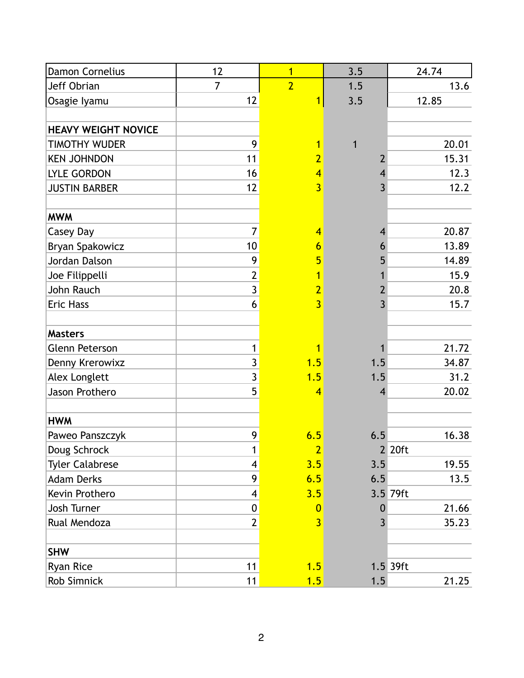| Damon Cornelius            | 12                      | $\overline{1}$ | 3.5            | 24.74    |
|----------------------------|-------------------------|----------------|----------------|----------|
| Jeff Obrian                | $\overline{7}$          | $\overline{2}$ | 1.5            | 13.6     |
| Osagie lyamu               | 12                      |                | 3.5            | 12.85    |
|                            |                         |                |                |          |
| <b>HEAVY WEIGHT NOVICE</b> |                         |                |                |          |
| <b>TIMOTHY WUDER</b>       | 9                       | 1              | 1              | 20.01    |
| <b>KEN JOHNDON</b>         | 11                      | 2              | 2              | 15.31    |
| <b>LYLE GORDON</b>         | 16                      | $\overline{4}$ | 4              | 12.3     |
| <b>JUSTIN BARBER</b>       | 12                      | $\overline{3}$ | $\overline{3}$ | 12.2     |
|                            |                         |                |                |          |
| <b>MWM</b>                 |                         |                |                |          |
| Casey Day                  | $\overline{7}$          | $\overline{4}$ | 4              | 20.87    |
| Bryan Spakowicz            | 10                      | 6              | 6              | 13.89    |
| Jordan Dalson              | 9                       | 5              | 5              | 14.89    |
| Joe Filippelli             | $\overline{2}$          |                |                | 15.9     |
| John Rauch                 | $\overline{3}$          | $\overline{2}$ | 2              | 20.8     |
| <b>Eric Hass</b>           | 6                       | $\overline{3}$ | 3              | 15.7     |
|                            |                         |                |                |          |
| <b>Masters</b>             |                         |                |                |          |
| <b>Glenn Peterson</b>      | $\mathbf{1}$            | 1              |                | 21.72    |
| Denny Krerowixz            | $\overline{\mathbf{3}}$ | 1.5            | 1.5            | 34.87    |
| Alex Longlett              | $\overline{3}$          | 1.5            | 1.5            | 31.2     |
| Jason Prothero             | 5                       | 4              | 4              | 20.02    |
|                            |                         |                |                |          |
| <b>HWM</b>                 |                         |                |                |          |
| Paweo Panszczyk            | 9                       | 6.5            | 6.5            | 16.38    |
| Doug Schrock               | $\mathbf{1}$            | $\overline{2}$ |                | 2 20ft   |
| <b>Tyler Calabrese</b>     | 4                       | 3.5            | 3.5            | 19.55    |
| <b>Adam Derks</b>          | 9                       | 6.5            | 6.5            | 13.5     |
| Kevin Prothero             | 4                       | 3.5            |                | 3.5 79ft |
| Josh Turner                | 0                       | $\overline{0}$ | 0              | 21.66    |
| Rual Mendoza               | $\overline{2}$          | $\overline{3}$ | $\overline{3}$ | 35.23    |
|                            |                         |                |                |          |
| <b>SHW</b>                 |                         |                |                |          |
| Ryan Rice                  | 11                      | 1.5            |                | 1.5 39ft |
| Rob Simnick                | 11                      | 1.5            | 1.5            | 21.25    |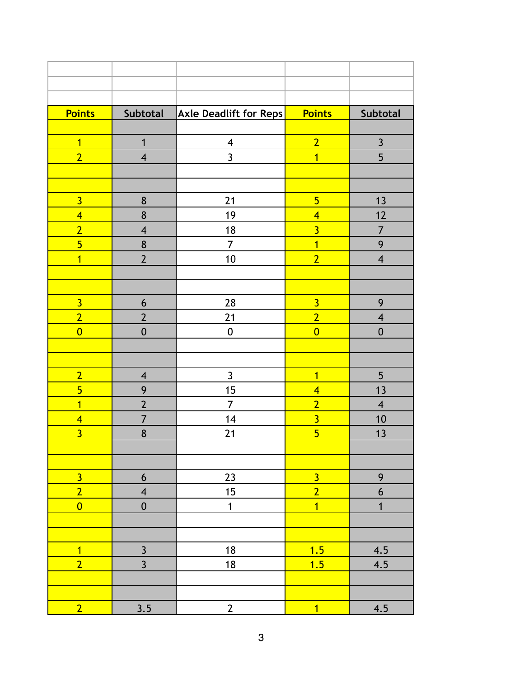| <b>Points</b>  | Subtotal                 | <b>Axle Deadlift for Reps</b> | <b>Points</b>  | <b>Subtotal</b>         |
|----------------|--------------------------|-------------------------------|----------------|-------------------------|
|                |                          |                               |                |                         |
| $\overline{1}$ | $\mathbf{1}$             | $\overline{\mathbf{4}}$       | $\overline{2}$ | $\overline{\mathbf{3}}$ |
| $\overline{2}$ | $\overline{4}$           | $\overline{3}$                | $\overline{1}$ | 5                       |
|                |                          |                               |                |                         |
|                |                          |                               |                |                         |
| $\overline{3}$ | 8                        | 21                            | $5\overline{}$ | 13                      |
| $\overline{4}$ | 8                        | 19                            | $\overline{4}$ | 12                      |
| $\overline{2}$ | $\overline{\mathcal{A}}$ | 18                            | $\overline{3}$ | 7                       |
| $\overline{5}$ | 8                        | $\overline{7}$                | $\overline{1}$ | 9                       |
| $\overline{1}$ | $\overline{2}$           | 10                            | $\overline{2}$ | $\overline{\mathbf{4}}$ |
|                |                          |                               |                |                         |
|                |                          |                               |                |                         |
| $\overline{3}$ | 6                        | 28                            | $\overline{3}$ | 9                       |
| $\overline{2}$ | $\overline{2}$           | 21                            | $\overline{2}$ | $\overline{\mathbf{4}}$ |
| $\overline{0}$ | $\mathbf 0$              | $\mathbf 0$                   | $\overline{0}$ | $\boldsymbol{0}$        |
|                |                          |                               |                |                         |
|                |                          |                               |                |                         |
| $\overline{2}$ | $\overline{\mathbf{4}}$  | $\mathsf{3}$                  | $\overline{1}$ | 5                       |
| $\overline{5}$ | 9                        | 15                            | $\overline{4}$ | 13                      |
| $\overline{1}$ | $\overline{2}$           | $\overline{7}$                | $\overline{2}$ | $\overline{\mathbf{4}}$ |
| $\overline{4}$ | $\overline{7}$           | 14                            | $\overline{3}$ | 10                      |
| $\overline{3}$ | 8                        | 21                            | $\overline{5}$ | 13                      |
|                |                          |                               |                |                         |
|                |                          |                               |                |                         |
| $\overline{3}$ | $\boldsymbol{6}$         | 23                            | $\overline{3}$ | 9                       |
| $\overline{2}$ | $\overline{\mathbf{4}}$  | 15                            | $\overline{2}$ | $\boldsymbol{6}$        |
| $\overline{0}$ | $\boldsymbol{0}$         | $\mathbf{1}$                  | $\overline{1}$ | $\mathbf{1}$            |
|                |                          |                               |                |                         |
|                |                          |                               |                |                         |
| $\overline{1}$ | $\mathfrak{Z}$           | 18                            | 1.5            | 4.5                     |
| $\overline{2}$ | $\overline{3}$           | 18                            | 1.5            | 4.5                     |
|                |                          |                               |                |                         |
|                |                          |                               |                |                         |
| 2 <sub>1</sub> | 3.5                      | $\overline{2}$                | $\overline{1}$ | 4.5                     |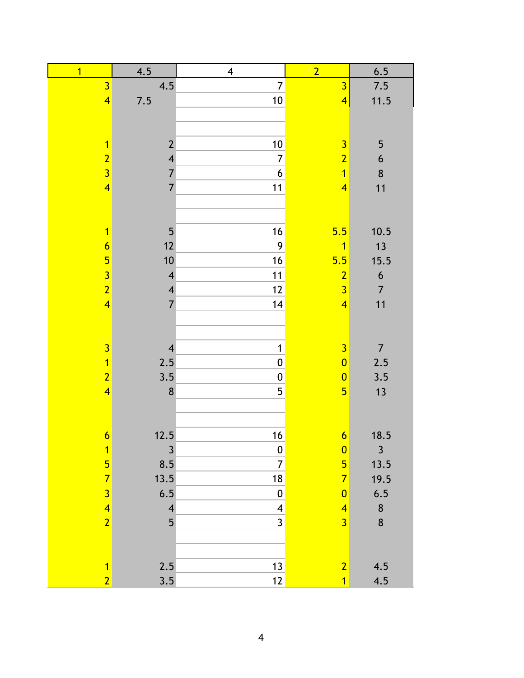| $\overline{1}$          | 4.5                     | $\overline{\mathbf{4}}$ | $\overline{2}$          | 6.5              |
|-------------------------|-------------------------|-------------------------|-------------------------|------------------|
| $\overline{3}$          | 4.5                     | $\overline{7}$          | $\overline{3}$          | 7.5              |
| $\overline{\mathbf{4}}$ | 7.5                     | 10                      | $\overline{\mathbf{4}}$ | 11.5             |
|                         |                         |                         |                         |                  |
|                         |                         |                         |                         |                  |
| $\overline{1}$          | $\overline{2}$          | 10                      | $\overline{\mathbf{3}}$ | 5                |
| $\overline{2}$          | $\overline{\mathbf{4}}$ | $\overline{7}$          | $\overline{2}$          | 6                |
| $\overline{3}$          | $\overline{7}$          | $\overline{6}$          | $\overline{1}$          | $\bf 8$          |
| $\overline{\mathbf{4}}$ | $\overline{7}$          | 11                      | $\overline{\mathbf{4}}$ | 11               |
|                         |                         |                         |                         |                  |
|                         |                         |                         |                         |                  |
| $\overline{1}$          | 5                       | 16                      | 5.5                     | 10.5             |
| $\overline{6}$          | 12                      | $\boldsymbol{9}$        | $\overline{1}$          | 13               |
| $\overline{\mathbf{5}}$ | $10$                    | 16                      | 5.5                     | 15.5             |
| $\overline{3}$          | $\overline{\mathbf{4}}$ | 11                      | $\overline{2}$          | $\boldsymbol{6}$ |
| $\overline{2}$          | $\overline{\mathbf{4}}$ | 12                      | $\overline{3}$          | $\overline{7}$   |
| $\overline{\mathbf{4}}$ | $\overline{7}$          | 14                      | $\overline{4}$          | 11               |
|                         |                         |                         |                         |                  |
|                         |                         |                         |                         |                  |
| $\overline{3}$          | $\overline{4}$          | $\mathbf{1}$            | $\overline{3}$          | $\overline{7}$   |
| $\overline{1}$          | 2.5                     | $\mathbf 0$             | $\overline{0}$          | 2.5              |
| $\overline{2}$          | 3.5                     | $\pmb{0}$               | $\overline{0}$          | 3.5              |
| $\overline{\mathbf{4}}$ | 8                       | 5                       | $5\overline{}$          | 13               |
|                         |                         |                         |                         |                  |
|                         |                         |                         |                         |                  |
| $\boldsymbol{6}$        | 12.5                    | 16                      | $\overline{6}$          | 18.5             |
| $\overline{1}$          | $\mathfrak{Z}$          | $\boldsymbol{0}$        | $\bf{0}$                | 3                |
| $\overline{\mathbf{5}}$ | 8.5                     | $\overline{7}$          | $5\overline{}$          | 13.5             |
| $\overline{7}$          | 13.5                    | 18                      | $\overline{7}$          | 19.5             |
| $\overline{3}$          | 6.5                     | $\boldsymbol{0}$        | $\overline{0}$          | 6.5              |
| $\overline{4}$          | $\overline{\mathbf{4}}$ | $\overline{\mathbf{4}}$ | $\overline{4}$          | $\bf 8$          |
| $\overline{2}$          | 5                       | $\overline{3}$          | $\overline{3}$          | $\boldsymbol{8}$ |
|                         |                         |                         |                         |                  |
|                         |                         |                         |                         |                  |
| $\overline{1}$          | 2.5                     | 13                      | $\overline{2}$          | 4.5              |
| $\overline{2}$          | 3.5                     | 12                      | $\overline{1}$          | 4.5              |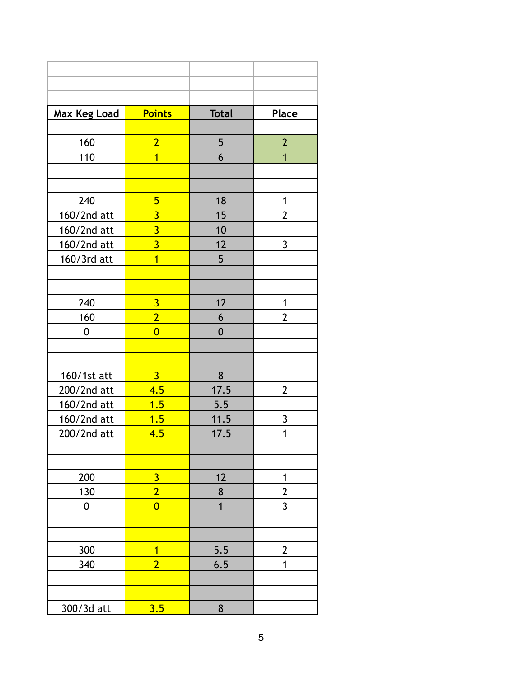| <b>Max Keg Load</b> | <b>Points</b>           | <b>Total</b>   | <b>Place</b>   |
|---------------------|-------------------------|----------------|----------------|
|                     |                         |                |                |
| 160                 | $\overline{2}$          | 5              | $\overline{2}$ |
| 110                 | $\overline{1}$          | 6              | $\overline{1}$ |
|                     |                         |                |                |
|                     |                         |                |                |
| 240                 | 5                       | 18             | 1              |
| 160/2nd att         | $\overline{3}$          | 15             | $\overline{2}$ |
| 160/2nd att         | $\overline{3}$          | 10             |                |
| 160/2nd att         | $\overline{3}$          | 12             | $\overline{3}$ |
| 160/3rd att         | $\overline{1}$          | 5              |                |
|                     |                         |                |                |
|                     |                         |                |                |
| 240                 | $\overline{3}$          | 12             | 1              |
| 160                 | $\overline{2}$          | 6              | $\overline{2}$ |
| 0                   | $\overline{0}$          | $\overline{0}$ |                |
|                     |                         |                |                |
|                     |                         |                |                |
| 160/1st att         | $\overline{3}$          | 8              |                |
| 200/2nd att         | 4.5                     | 17.5           | $\overline{2}$ |
| 160/2nd att         | 1.5                     | 5.5            |                |
| 160/2nd att         | 1.5                     | 11.5           | 3              |
| 200/2nd att         | 4.5                     | 17.5           | $\overline{1}$ |
|                     |                         |                |                |
|                     |                         |                |                |
| 200                 | $\overline{\mathbf{3}}$ | 12             | 1              |
| 130                 | $\overline{2}$          | 8              | $\overline{2}$ |
| 0                   | $\overline{0}$          | $\overline{1}$ | $\overline{3}$ |
|                     |                         |                |                |
|                     |                         |                |                |
| 300                 | $\overline{1}$          | 5.5            | $\overline{2}$ |
| 340                 | $\overline{2}$          | 6.5            | 1              |
|                     |                         |                |                |
|                     |                         |                |                |
| 300/3d att          | 3.5                     | 8              |                |